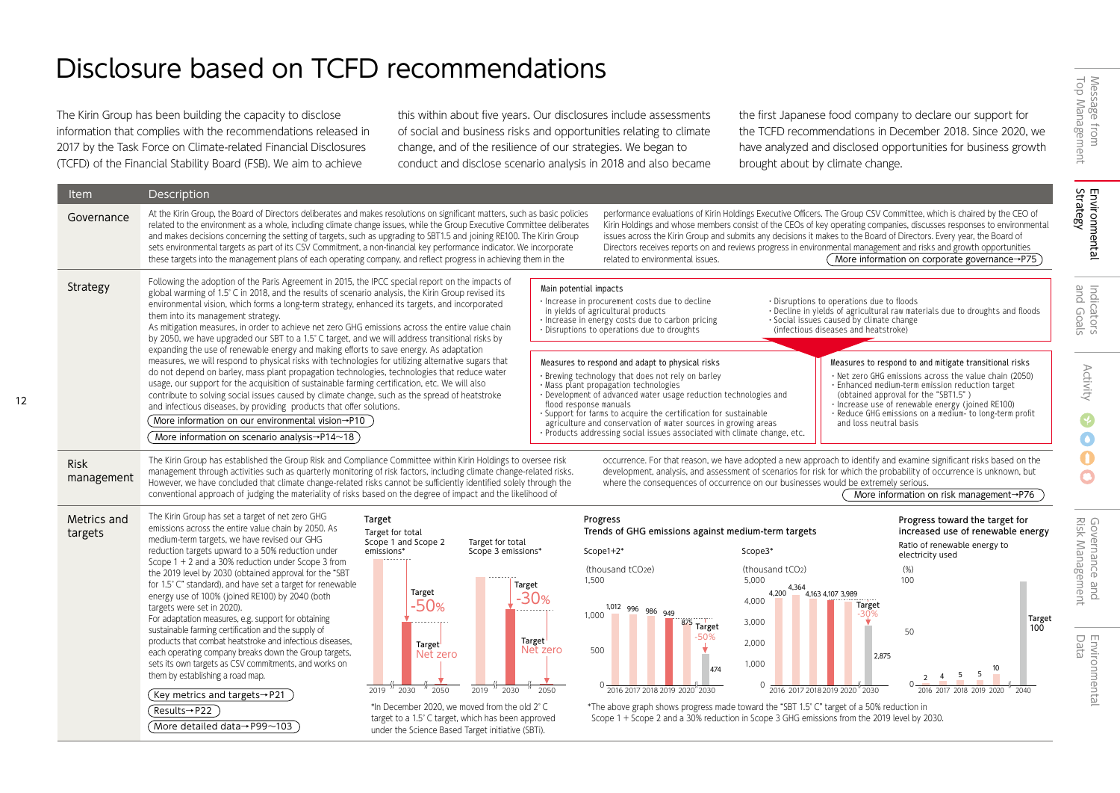## Disclosure based on TCFD recommendations

The Kirin Group has been building the capacity to disclose information that complies with the recommendations released in 2017 by the Task Force on Climate-related Financial Disclosures (TCFD) of the Financial Stability Board (FSB). We aim to achieve

this within about five years. Our disclosures include assessments of social and business risks and opportunities relating to climate change, and of the resilience of our strategies. We began to conduct and disclose scenario analysis in 2018 and also became the first Japanese food company to declare our support for the TCFD recommendations in December 2018. Since 2020, we have analyzed and disclosed opportunities for business growth brought about by climate change.

| <b>Item</b>               | Description                                                                                                                                                                                                                                                                                                                                                                                                                                                                                                                                                                                                                                                                                                                                                                                                                                                                                                                            |                                                                                                                                                                                                                                                                                                |                                                                                                                            |                                                                                                                                                                                                                                                                                                                                                                                                                                                               |                                                                                                                                                                                                                                                                                                                                                        |                                                                                                                                                                                                                                                                                                                                                                                                                                   |                                                                         |
|---------------------------|----------------------------------------------------------------------------------------------------------------------------------------------------------------------------------------------------------------------------------------------------------------------------------------------------------------------------------------------------------------------------------------------------------------------------------------------------------------------------------------------------------------------------------------------------------------------------------------------------------------------------------------------------------------------------------------------------------------------------------------------------------------------------------------------------------------------------------------------------------------------------------------------------------------------------------------|------------------------------------------------------------------------------------------------------------------------------------------------------------------------------------------------------------------------------------------------------------------------------------------------|----------------------------------------------------------------------------------------------------------------------------|---------------------------------------------------------------------------------------------------------------------------------------------------------------------------------------------------------------------------------------------------------------------------------------------------------------------------------------------------------------------------------------------------------------------------------------------------------------|--------------------------------------------------------------------------------------------------------------------------------------------------------------------------------------------------------------------------------------------------------------------------------------------------------------------------------------------------------|-----------------------------------------------------------------------------------------------------------------------------------------------------------------------------------------------------------------------------------------------------------------------------------------------------------------------------------------------------------------------------------------------------------------------------------|-------------------------------------------------------------------------|
| Governance                | At the Kirin Group, the Board of Directors deliberates and makes resolutions on significant matters, such as basic policies<br>related to the environment as a whole, including climate change issues, while the Group Executive Committee deliberates<br>and makes decisions concerning the setting of targets, such as upgrading to SBT1.5 and joining RE100. The Kirin Group<br>sets environmental targets as part of its CSV Commitment, a non-financial key performance indicator. We incorporate<br>these targets into the management plans of each operating company, and reflect progress in achieving them in the                                                                                                                                                                                                                                                                                                             |                                                                                                                                                                                                                                                                                                |                                                                                                                            | related to environmental issues.                                                                                                                                                                                                                                                                                                                                                                                                                              | issues across the Kirin Group and submits any decisions it makes to the Board of Directors. Every year, the Board of                                                                                                                                                                                                                                   | performance evaluations of Kirin Holdings Executive Officers. The Group CSV Committee, which is chaired by the CEO of<br>Kirin Holdings and whose members consist of the CEOs of key operating companies, discusses responses to environmental<br>Directors receives reports on and reviews progress in environmental management and risks and growth opportunities<br>More information on corporate governance $\rightarrow$ P75 | Environmental<br>Strategy                                               |
| Strategy                  | Following the adoption of the Paris Agreement in 2015, the IPCC special report on the impacts of<br>global warming of 1.5° C in 2018, and the results of scenario analysis, the Kirin Group revised its<br>environmental vision, which forms a long-term strategy, enhanced its targets, and incorporated<br>them into its management strategy.<br>As mitigation measures, in order to achieve net zero GHG emissions across the entire value chain<br>by 2050, we have upgraded our SBT to a 1.5° C target, and we will address transitional risks by                                                                                                                                                                                                                                                                                                                                                                                 |                                                                                                                                                                                                                                                                                                | Main potential impacts                                                                                                     | · Increase in procurement costs due to decline<br>in yields of agricultural products<br>· Increase in energy costs due to carbon pricing<br>· Disruptions to operations due to droughts                                                                                                                                                                                                                                                                       | . Disruptions to operations due to floods<br>· Social issues caused by climate change<br>(infectious diseases and heatstroke)                                                                                                                                                                                                                          | . Decline in yields of agricultural raw materials due to droughts and floods                                                                                                                                                                                                                                                                                                                                                      | Indicators<br>and Goals                                                 |
|                           | expanding the use of renewable energy and making efforts to save energy. As adaptation<br>measures, we will respond to physical risks with technologies for utilizing alternative sugars that<br>do not depend on barley, mass plant propagation technologies, technologies that reduce water<br>usage, our support for the acquisition of sustainable farming certification, etc. We will also<br>contribute to solving social issues caused by climate change, such as the spread of heatstroke<br>and infectious diseases, by providing products that offer solutions.<br>More information on our environmental vision $\rightarrow$ P10<br>More information on scenario analysis $\rightarrow$ P14 $\sim$ 18                                                                                                                                                                                                                       |                                                                                                                                                                                                                                                                                                |                                                                                                                            | Measures to respond and adapt to physical risks<br>· Brewing technology that does not rely on barley<br>· Mass plant propagation technologies<br>· Development of advanced water usage reduction technologies and<br>flood response manuals<br>· Support for farms to acquire the certification for sustainable<br>agriculture and conservation of water sources in growing areas<br>· Products addressing social issues associated with climate change, etc. |                                                                                                                                                                                                                                                                                                                                                        | Measures to respond to and mitigate transitional risks<br>· Net zero GHG emissions across the value chain (2050)<br>· Enhanced medium-term emission reduction target<br>(obtained approval for the "SBT1.5")<br>· Increase use of renewable energy (joined RE100)<br>· Reduce GHG emissions on a medium- to long-term profit<br>and loss neutral basis                                                                            | <b>Activity</b><br>$\mathbf Q$<br>$\bullet$                             |
| <b>Risk</b><br>management | The Kirin Group has established the Group Risk and Compliance Committee within Kirin Holdings to oversee risk<br>management through activities such as quarterly monitoring of risk factors, including climate change-related risks.<br>However, we have concluded that climate change-related risks cannot be sufficiently identified solely through the<br>conventional approach of judging the materiality of risks based on the degree of impact and the likelihood of                                                                                                                                                                                                                                                                                                                                                                                                                                                             |                                                                                                                                                                                                                                                                                                |                                                                                                                            |                                                                                                                                                                                                                                                                                                                                                                                                                                                               | where the consequences of occurrence on our businesses would be extremely serious.                                                                                                                                                                                                                                                                     | occurrence. For that reason, we have adopted a new approach to identify and examine significant risks based on the<br>development, analysis, and assessment of scenarios for risk for which the probability of occurrence is unknown, but<br>More information on risk management→P76                                                                                                                                              | $\bullet$<br>$\bullet$                                                  |
| Metrics and<br>targets    | The Kirin Group has set a target of net zero GHG<br>emissions across the entire value chain by 2050. As<br>medium-term targets, we have revised our GHG<br>reduction targets upward to a 50% reduction under<br>Scope 1 + 2 and a 30% reduction under Scope 3 from<br>the 2019 level by 2030 (obtained approval for the "SBT<br>for 1.5° C" standard), and have set a target for renewable<br>energy use of 100% (joined RE100) by 2040 (both<br>targets were set in 2020).<br>For adaptation measures, e.g. support for obtaining<br>sustainable farming certification and the supply of<br>products that combat heatstroke and infectious diseases,<br>each operating company breaks down the Group targets,<br>sets its own targets as CSV commitments, and works on<br>them by establishing a road map.<br>$\left($ Key metrics and targets $\rightarrow$ P21<br>(Results→P22 )<br>More detailed data $\rightarrow$ P99 $\sim$ 103 | Target<br>Target for total<br>Scope 1 and Scope 2<br>emissions*<br>Target<br>-50%<br>Target<br>Net zero<br>2030<br>$'$ 2050<br>2019<br>*In December 2020, we moved from the old 2°C<br>target to a 1.5° C target, which has been approved<br>under the Science Based Target initiative (SBTi). | Target for total<br>Scope 3 emissions*<br>Target<br>$-30%$<br>Target<br>Net zero<br>2019<br>2050<br>$^{\prime\prime}$ 2030 | Progress<br>Trends of GHG emissions against medium-term targets<br>Scope1+2*<br>(thousand tCO <sub>2e</sub> )<br>1,500<br>1,012 996 986 949<br>1.000<br>875 Target<br>50%<br>500<br>474<br>0 2016 2017 2018 2019 2020 2030                                                                                                                                                                                                                                    | Scope3*<br>(thousand tCO2)<br>5,000<br>4,364<br>4,200<br>4,163 4,107 3,989<br>4,000<br>Target<br>3,000<br>2,000<br>1,000<br>2016 2017 2018 2019 2020 "2030<br>*The above graph shows progress made toward the "SBT 1.5° C" target of a 50% reduction in<br>Scope 1 + Scope 2 and a 30% reduction in Scope 3 GHG emissions from the 2019 level by 2030. | Progress toward the target for<br>increased use of renewable energy<br>Ratio of renewable energy to<br>electricity used<br>(%)<br>100<br>Target<br>100<br>50<br>2.875<br>-5<br>5<br>2016 2017 2018 2019 2020<br>2040                                                                                                                                                                                                              | Governance and<br>Risk Management<br>Enviro<br>Data<br>$\overline{\Xi}$ |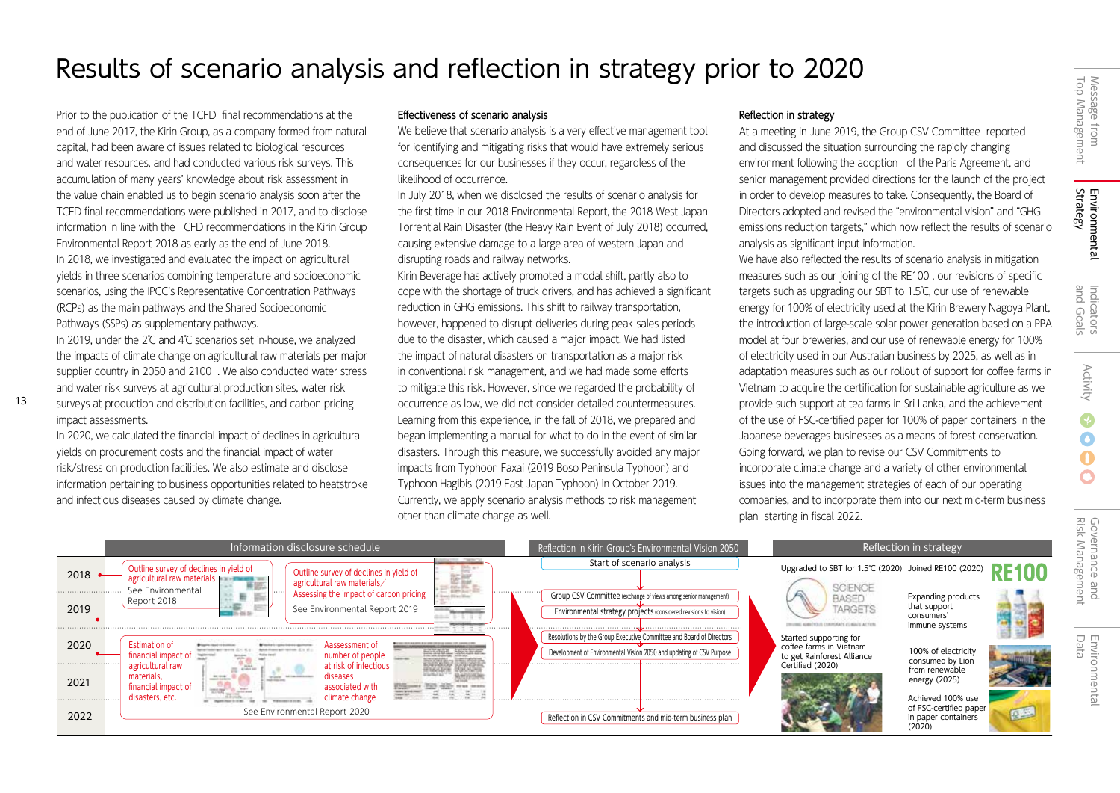# Message from<br>Top Management Top Management Message from

## Governance and<br>Risk Management Risk Management Governance and

## Results of scenario analysis and reflection in strategy prior to 2020

Prior to the publication of the TCFD final recommendations at the end of June 2017, the Kirin Group, as a company formed from natural capital, had been aware of issues related to biological resources and water resources, and had conducted various risk surveys. This accumulation of many years' knowledge about risk assessment in the value chain enabled us to begin scenario analysis soon after the TCFD final recommendations were published in 2017, and to disclose information in line with the TCFD recommendations in the Kirin Group Environmental Report 2018 as early as the end of June 2018. In 2018, we investigated and evaluated the impact on agricultural yields in three scenarios combining temperature and socioeconomic scenarios, using the IPCC's Representative Concentration Pathways (RCPs) as the main pathways and the Shared Socioeconomic Pathways (SSPs) as supplementary pathways.

In 2019, under the 2℃ and 4℃ scenarios set in-house, we analyzed the impacts of climate change on agricultural raw materials per major supplier country in 2050 and 2100 . We also conducted water stress and water risk surveys at agricultural production sites, water risk

surveys at production and distribution facilities, and carbon pricing impact assessments.

In 2020, we calculated the financial impact of declines in agricultural yields on procurement costs and the financial impact of water risk/stress on production facilities. We also estimate and disclose information pertaining to business opportunities related to heatstroke and infectious diseases caused by climate change.

## Effectiveness of scenario analysis

We believe that scenario analysis is a very effective management tool for identifying and mitigating risks that would have extremely serious consequences for our businesses if they occur, regardless of the likelihood of occurrence.

In July 2018, when we disclosed the results of scenario analysis for the first time in our 2018 Environmental Report, the 2018 West Japan Torrential Rain Disaster (the Heavy Rain Event of July 2018) occurred, causing extensive damage to a large area of western Japan and disrupting roads and railway networks.

Kirin Beverage has actively promoted a modal shift, partly also to cope with the shortage of truck drivers, and has achieved a significant reduction in GHG emissions. This shift to railway transportation, however, happened to disrupt deliveries during peak sales periods due to the disaster, which caused a major impact. We had listed the impact of natural disasters on transportation as a major risk in conventional risk management, and we had made some efforts to mitigate this risk. However, since we regarded the probability of occurrence as low, we did not consider detailed countermeasures. Learning from this experience, in the fall of 2018, we prepared and began implementing a manual for what to do in the event of similar disasters. Through this measure, we successfully avoided any major impacts from Typhoon Faxai (2019 Boso Peninsula Typhoon) and Typhoon Hagibis (2019 East Japan Typhoon) in October 2019. Currently, we apply scenario analysis methods to risk management other than climate change as well.

## Reflection in strategy

At a meeting in June 2019, the Group CSV Committee reported and discussed the situation surrounding the rapidly changing environment following the adoption of the Paris Agreement, and senior management provided directions for the launch of the project in order to develop measures to take. Consequently, the Board of Directors adopted and revised the "environmental vision" and "GHG emissions reduction targets," which now reflect the results of scenario analysis as significant input information.

We have also reflected the results of scenario analysis in mitigation measures such as our joining of the RE100 , our revisions of specific targets such as upgrading our SBT to 1.5℃, our use of renewable energy for 100% of electricity used at the Kirin Brewery Nagoya Plant, the introduction of large-scale solar power generation based on a PPA model at four breweries, and our use of renewable energy for 100% of electricity used in our Australian business by 2025, as well as in adaptation measures such as our rollout of support for coffee farms in Vietnam to acquire the certification for sustainable agriculture as we provide such support at tea farms in Sri Lanka, and the achievement of the use of FSC-certified paper for 100% of paper containers in the Japanese beverages businesses as a means of forest conservation. Going forward, we plan to revise our CSV Commitments to incorporate climate change and a variety of other environmental issues into the management strategies of each of our operating companies, and to incorporate them into our next mid-term business plan starting in fiscal 2022.

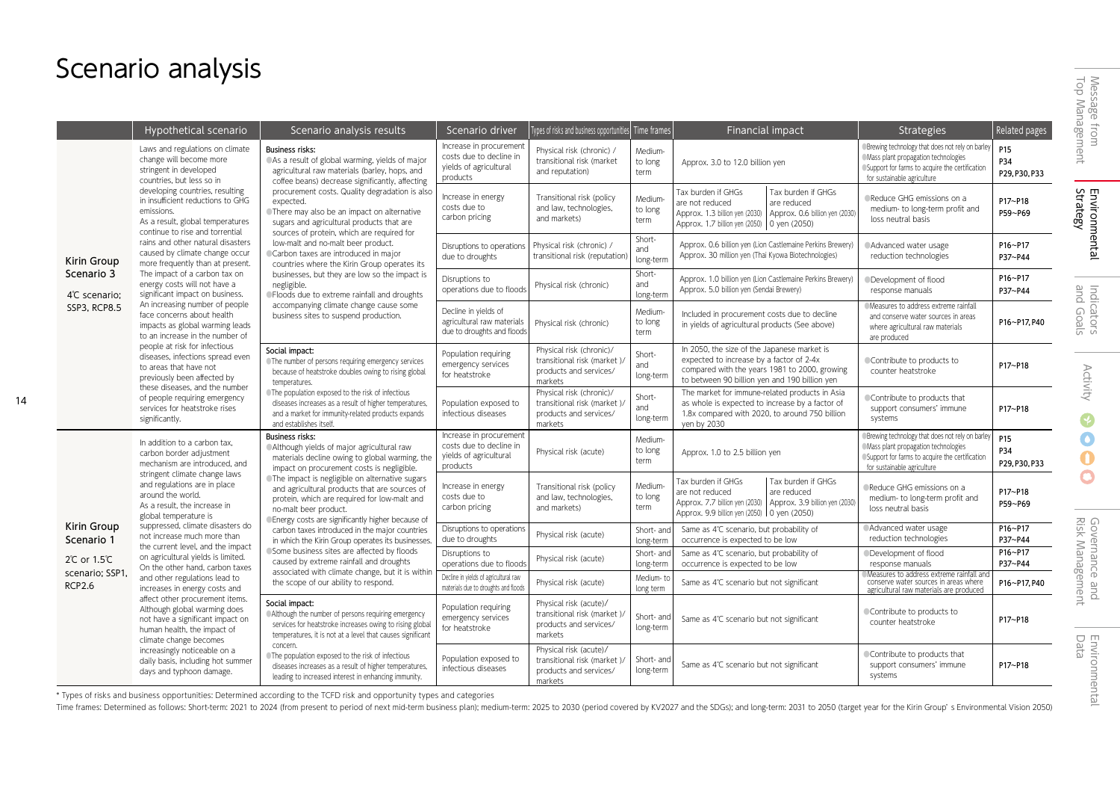## Scenario analysis

14

|                                  | Hypothetical scenario                                                                                                                                                                                                                                                | Scenario analysis results                                                                                                                                                                                                                                                                                                                    | Scenario driver                                                                          | [ypes of risks and business opportunities] Time frames                                        |                            | Financial impact                                                                                                                                                                                | <b>Strategies</b>                                                                                                                                                         | Related pages                           |
|----------------------------------|----------------------------------------------------------------------------------------------------------------------------------------------------------------------------------------------------------------------------------------------------------------------|----------------------------------------------------------------------------------------------------------------------------------------------------------------------------------------------------------------------------------------------------------------------------------------------------------------------------------------------|------------------------------------------------------------------------------------------|-----------------------------------------------------------------------------------------------|----------------------------|-------------------------------------------------------------------------------------------------------------------------------------------------------------------------------------------------|---------------------------------------------------------------------------------------------------------------------------------------------------------------------------|-----------------------------------------|
|                                  | Laws and regulations on climate<br>change will become more<br>stringent in developed<br>countries, but less so in                                                                                                                                                    | <b>Business risks:</b><br>As a result of global warming, yields of major<br>agricultural raw materials (barley, hops, and<br>coffee beans) decrease significantly, affecting                                                                                                                                                                 | Increase in procurement<br>costs due to decline in<br>yields of agricultural<br>products | Physical risk (chronic) /<br>transitional risk (market<br>and reputation)                     | Medium-<br>to long<br>term | Approx. 3.0 to 12.0 billion yen                                                                                                                                                                 | ®Brewing technology that does not rely on barley<br>Mass plant propagation technologies<br>OSupport for farms to acquire the certification<br>for sustainable agriculture | P <sub>15</sub><br>P34<br>P29, P30, P33 |
|                                  | developing countries, resulting<br>in insufficient reductions to GHG<br>emissions.<br>As a result, global temperatures<br>continue to rise and torrential<br>rains and other natural disasters<br>caused by climate change occur<br>more frequently than at present. | procurement costs. Quality degradation is also<br>expected.<br>● There may also be an impact on alternative<br>sugars and agricultural products that are<br>sources of protein, which are required for                                                                                                                                       | Increase in energy<br>costs due to<br>carbon pricing                                     | Transitional risk (policy<br>and law, technologies,<br>and markets)                           | Medium-<br>to long<br>term | Tax burden if GHGs<br>Tax burden if GHGs<br>are not reduced<br>are reduced<br>Approx. 1.3 billion yen (2030)<br>Approx. 0.6 billion yen (2030<br>Approx. 1.7 billion yen (2050)<br>0 yen (2050) | Reduce GHG emissions on a<br>medium- to long-term profit and<br>loss neutral basis                                                                                        | P17~P18<br>P59~P69                      |
| Kirin Group                      |                                                                                                                                                                                                                                                                      | low-malt and no-malt beer product.<br>Carbon taxes are introduced in major<br>countries where the Kirin Group operates its                                                                                                                                                                                                                   | Disruptions to operations<br>due to droughts                                             | Physical risk (chronic) /<br>transitional risk (reputation                                    | Short-<br>and<br>long-term | Approx. 0.6 billion yen (Lion Castlemaine Perkins Brewery)<br>Approx. 30 million yen (Thai Kyowa Biotechnologies)                                                                               | Advanced water usage<br>reduction technologies                                                                                                                            | P16~P17<br>P37~P44                      |
| Scenario 3<br>4°C scenario;      | The impact of a carbon tax on<br>energy costs will not have a<br>significant impact on business.                                                                                                                                                                     | businesses, but they are low so the impact is<br>negligible.<br><b>• Floods due to extreme rainfall and droughts</b>                                                                                                                                                                                                                         | Disruptions to<br>operations due to floods                                               | Physical risk (chronic)                                                                       | Short-<br>and<br>long-term | Approx. 1.0 billion yen (Lion Castlemaine Perkins Brewery)<br>Approx. 5.0 billion yen (Sendai Brewery)                                                                                          | Development of flood<br>response manuals                                                                                                                                  | P16~P17<br>P37~P44                      |
| <b>SSP3, RCP8.5</b>              | An increasing number of people<br>face concerns about health<br>impacts as global warming leads<br>to an increase in the number of                                                                                                                                   | accompanying climate change cause some<br>business sites to suspend production.                                                                                                                                                                                                                                                              | Decline in yields of<br>agricultural raw materials<br>due to droughts and floods         | Physical risk (chronic)                                                                       | Medium-<br>to long<br>term | Included in procurement costs due to decline<br>in yields of agricultural products (See above)                                                                                                  | Measures to address extreme rainfall<br>and conserve water sources in areas<br>where agricultural raw materials<br>are produced                                           | P16~P17, P40                            |
|                                  | people at risk for infectious<br>diseases, infections spread even<br>to areas that have not<br>previously been affected by                                                                                                                                           | Social impact:<br>The number of persons requiring emergency services<br>because of heatstroke doubles owing to rising global<br>temperatures.<br>The population exposed to the risk of infectious<br>diseases increases as a result of higher temperatures,<br>and a market for immunity-related products expands<br>and establishes itself. | Population requiring<br>emergency services<br>for heatstroke                             | Physical risk (chronic)/<br>transitional risk (market )/<br>products and services/<br>markets | Short-<br>and<br>long-term | In 2050, the size of the Japanese market is<br>expected to increase by a factor of 2-4x<br>compared with the years 1981 to 2000, growing<br>to between 90 billion yen and 190 billion yen       | Contribute to products to<br>counter heatstroke                                                                                                                           | P17~P18                                 |
|                                  | these diseases, and the number<br>of people requiring emergency<br>services for heatstroke rises<br>significantly.                                                                                                                                                   |                                                                                                                                                                                                                                                                                                                                              | Population exposed to<br>infectious diseases                                             | Physical risk (chronic)/<br>transitional risk (market)/<br>products and services/<br>markets  | Short-<br>and<br>long-term | The market for immune-related products in Asia<br>as whole is expected to increase by a factor of<br>1.8x compared with 2020, to around 750 billion<br>yen by 2030                              | Contribute to products that<br>support consumers' immune<br>systems                                                                                                       | P17~P18                                 |
|                                  | In addition to a carbon tax,<br>carbon border adjustment<br>mechanism are introduced, and                                                                                                                                                                            | <b>Business risks:</b><br>Although yields of major agricultural raw<br>materials decline owing to global warming, the<br>impact on procurement costs is negligible.                                                                                                                                                                          | Increase in procurement<br>costs due to decline in<br>yields of agricultural<br>products | Physical risk (acute)                                                                         | Medium-<br>to long<br>term | Approx. 1.0 to 2.5 billion yen                                                                                                                                                                  | Brewing technology that does not rely on barley<br>Mass plant propagation technologies<br>Support for farms to acquire the certification<br>for sustainable agriculture   | P <sub>15</sub><br>P34<br>P29, P30, P33 |
|                                  | stringent climate change laws<br>and regulations are in place<br>around the world.<br>As a result, the increase in<br>global temperature is                                                                                                                          | The impact is negligible on alternative sugars<br>and agricultural products that are sources of<br>protein, which are required for low-malt and<br>no-malt beer product.<br>Energy costs are significantly higher because of                                                                                                                 | Increase in energy<br>costs due to<br>carbon pricing                                     | Transitional risk (policy<br>and law, technologies,<br>and markets)                           | Medium-<br>to long<br>term | Tax burden if GHGs<br>Tax burden if GHGs<br>are not reduced<br>are reduced<br>Approx. 7.7 billion yen (2030)<br>Approx. 3.9 billion yen (2030<br>Approx. 9.9 billion yen (2050) 0 yen (2050)    | Reduce GHG emissions on a<br>medium- to long-term profit and<br>loss neutral basis                                                                                        | P17~P18<br>P59~P69                      |
| Kirin Group<br>Scenario 1        | suppressed, climate disasters do<br>not increase much more than                                                                                                                                                                                                      | carbon taxes introduced in the major countries<br>in which the Kirin Group operates its businesses.                                                                                                                                                                                                                                          | Disruptions to operations<br>due to droughts                                             | Physical risk (acute)                                                                         | Short- and<br>long-term    | Same as 4°C scenario, but probability of<br>occurrence is expected to be low                                                                                                                    | Advanced water usage<br>reduction technologies                                                                                                                            | P16~P17<br>P37~P44                      |
| 2℃ or 1.5℃                       | the current level, and the impact<br>on agricultural yields is limited.<br>On the other hand, carbon taxes                                                                                                                                                           | Some business sites are affected by floods<br>caused by extreme rainfall and droughts                                                                                                                                                                                                                                                        | Disruptions to<br>operations due to floods                                               | Physical risk (acute)                                                                         | Short- and<br>long-term    | Same as 4°C scenario, but probability of<br>occurrence is expected to be low                                                                                                                    | Development of flood<br>response manuals                                                                                                                                  | P16~P17<br>P37~P44                      |
| scenario; SSP1,<br><b>RCP2.6</b> | and other regulations lead to<br>increases in energy costs and                                                                                                                                                                                                       | associated with climate change, but it is within<br>the scope of our ability to respond.                                                                                                                                                                                                                                                     | Decline in vields of agricultural raw<br>materials due to droughts and floods            | Physical risk (acute)                                                                         | Medium-to<br>long term     | Same as 4°C scenario but not significant                                                                                                                                                        | Measures to address extreme rainfall and<br>conserve water sources in areas where<br>agricultural raw materials are produced                                              | P16~P17.P40                             |
|                                  | affect other procurement items.<br>Although global warming does<br>not have a significant impact on<br>human health, the impact of<br>climate change becomes                                                                                                         | Social impact:<br>Although the number of persons requiring emergency<br>services for heatstroke increases owing to rising global<br>temperatures, it is not at a level that causes significant                                                                                                                                               | Population requiring<br>emergency services<br>for heatstroke                             | Physical risk (acute)/<br>transitional risk (market)/<br>products and services/<br>markets    | Short- and<br>long-term    | Same as 4°C scenario but not significant                                                                                                                                                        | Contribute to products to<br>counter heatstroke                                                                                                                           | P17~P18                                 |
|                                  | increasingly noticeable on a<br>daily basis, including hot summer<br>days and typhoon damage.                                                                                                                                                                        | concern.<br>The population exposed to the risk of infectious<br>diseases increases as a result of higher temperatures,<br>leading to increased interest in enhancing immunity.                                                                                                                                                               | Population exposed to<br>infectious diseases                                             | Physical risk (acute)/<br>transitional risk (market)/<br>products and services/<br>markets    | Short- and<br>long-term    | Same as 4°C scenario but not significant                                                                                                                                                        | Contribute to products that<br>support consumers' immune<br>systems                                                                                                       | P17~P18                                 |

\* Types of risks and business opportunities: Determined according to the TCFD risk and opportunity types and categories

Time frames: Determined as follows: Short-term: 2021 to 2024 (from present to period of next mid-term business plan); medium-term: 2025 to 2030 (period covered by KV2027 and the SDGs); and long-term: 2031 to 2050 (target y

 $\overline{O}$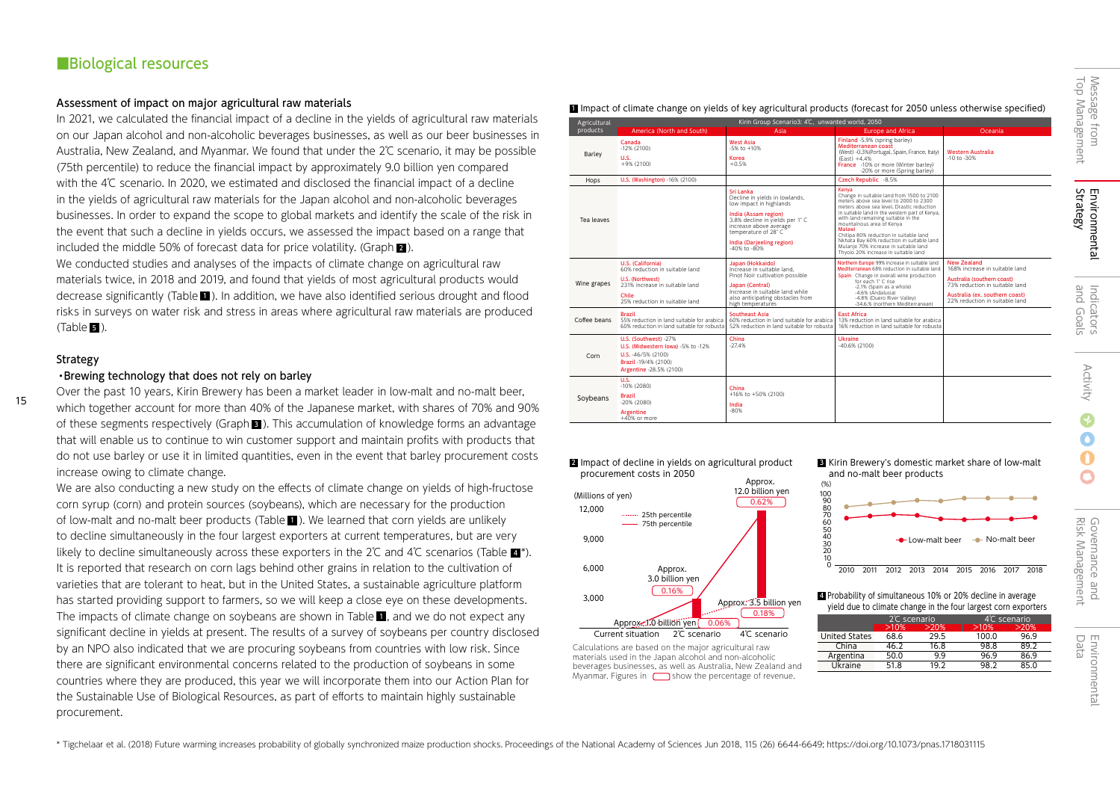## ■Biological resources

### Assessment of impact on major agricultural raw materials

In 2021, we calculated the financial impact of a decline in the yields of agricultural raw materials on our Japan alcohol and non-alcoholic beverages businesses, as well as our beer businesses in Australia, New Zealand, and Myanmar. We found that under the 2℃ scenario, it may be possible (75th percentile) to reduce the financial impact by approximately 9.0 billion yen compared with the 4℃ scenario. In 2020, we estimated and disclosed the financial impact of a decline in the yields of agricultural raw materials for the Japan alcohol and non-alcoholic beverages businesses. In order to expand the scope to global markets and identify the scale of the risk in the event that such a decline in yields occurs, we assessed the impact based on a range that included the middle 50% of forecast data for price volatility. (Graph  $\overline{\mathbf{2}}$  ).

We conducted studies and analyses of the impacts of climate change on agricultural raw materials twice, in 2018 and 2019, and found that yields of most agricultural products would decrease significantly (Table  $\blacksquare$ ). In addition, we have also identified serious drought and flood  $\blacksquare$ risks in surveys on water risk and stress in areas where agricultural raw materials are produced (Table  $\blacksquare$  ).

## Strategy

15

### ・Brewing technology that does not rely on barley

Over the past 10 years, Kirin Brewery has been a market leader in low-malt and no-malt beer, which together account for more than 40% of the Japanese market, with shares of 70% and 90% of these segments respectively (Graph  $\blacksquare$  ). This accumulation of knowledge forms an advantage that will enable us to continue to win customer support and maintain profits with products that do not use barley or use it in limited quantities, even in the event that barley procurement costs increase owing to climate change.

We are also conducting a new study on the effects of climate change on yields of high-fructose corn syrup (corn) and protein sources (soybeans), which are necessary for the production of low-malt and no-malt beer products (Table  $\blacksquare$  ). We learned that corn yields are unlikely ( to decline simultaneously in the four largest exporters at current temperatures, but are very likely to decline simultaneously across these exporters in the 2℃ and 4℃ scenarios (Table  $\blacksquare^*$ ). It is reported that research on corn lags behind other grains in relation to the cultivation of varieties that are tolerant to heat, but in the United States, a sustainable agriculture platform has started providing support to farmers, so we will keep a close eye on these developments. The impacts of climate change on soybeans are shown in Table  $\blacksquare$ , and we do not expect any significant decline in yields at present. The results of a survey of soybeans per country disclosed by an NPO also indicated that we are procuring soybeans from countries with low risk. Since there are significant environmental concerns related to the production of soybeans in some countries where they are produced, this year we will incorporate them into our Action Plan for the Sustainable Use of Biological Resources, as part of efforts to maintain highly sustainable procurement.

|              | Impact of climate change on yields of key agricultural products (forecast for 2050 unless otherwise specified) |
|--------------|----------------------------------------------------------------------------------------------------------------|
| Agricultural | Kirin Group Scenario3: 4°C, unwanted world, 2050                                                               |

| Agricultural<br>products | America (North and South)                                                                                                                            | Kirin Group Scenario3: 4℃, unwanted world, 2050<br>Asia                                                                                                                                                                         | <b>Europe and Africa</b>                                                                                                                                                                                                                                                                                                                                                                                                                          | Oceania                                                                                                                                                                           | 忌                                |
|--------------------------|------------------------------------------------------------------------------------------------------------------------------------------------------|---------------------------------------------------------------------------------------------------------------------------------------------------------------------------------------------------------------------------------|---------------------------------------------------------------------------------------------------------------------------------------------------------------------------------------------------------------------------------------------------------------------------------------------------------------------------------------------------------------------------------------------------------------------------------------------------|-----------------------------------------------------------------------------------------------------------------------------------------------------------------------------------|----------------------------------|
| Barley                   | Canada<br>$-12\%$ (2100)<br>U.S.<br>$+9% (2100)$                                                                                                     | <b>West Asia</b><br>$-5\%$ to $+10\%$<br>Korea<br>$+0.5%$                                                                                                                                                                       | Finland -5.9% (spring barley)<br><b>Mediterranean coast</b><br>(West) -0.3%(Portugal, Spain, France, Italy)<br>$(East) +4.4%$<br>France -10% or more (Winter barley)<br>-20% or more (Spring barley)                                                                                                                                                                                                                                              | <b>Western Australia</b><br>-10 to -30%                                                                                                                                           | from<br><b>gement</b>            |
| Hops                     | U.S. (Washington) -16% (2100)                                                                                                                        |                                                                                                                                                                                                                                 | Czech Republic -8.5%                                                                                                                                                                                                                                                                                                                                                                                                                              |                                                                                                                                                                                   |                                  |
| Tea leaves               |                                                                                                                                                      | Sri Lanka<br>Decline in yields in lowlands,<br>low impact in highlands<br>India (Assam region)<br>3.8% decline in yields per 1°C<br>increase above average<br>temperature of 28° C<br>India (Darjeeling region)<br>-40% to -80% | Kenva<br>Change in suitable land from 1500 to 2100<br>meters above sea level to 2000 to 2300<br>meters above sea level. Drastic reduction<br>in suitable land in the western part of Kenva.<br>with land remaining suitable in the<br>mountainous area of Kenya<br>Malawi<br>Chitipa 80% reduction in suitable land<br>Nkhata Bay 60% reduction in suitable land<br>Mulanje 70% increase in suitable land<br>Thyolo 20% increase in suitable land |                                                                                                                                                                                   | ဟု m<br>itrategy<br>nvironmental |
| Wine grapes              | U.S. (California)<br>60% reduction in suitable land<br>U.S. (Northwest)<br>231% increase in suitable land<br>Chile<br>25% reduction in suitable land | Japan (Hokkaido)<br>Increase in suitable land.<br>Pinot Noir cultivation possible<br>Japan (Central)<br>Increase in suitable land while<br>also anticipating obstacles from<br>high temperatures                                | Northern Europe 99% increase in suitable land<br>Mediterranean 68% reduction in suitable land<br>Spain Change in overall wine production<br>for each 1° C rise<br>-2.1% (Spain as a whole)<br>-4.6% (Andalusia)<br>-4.8% (Duero River Valley)<br>-34.6.% (northern Mediterranean)                                                                                                                                                                 | New Zealand<br>168% increase in suitable land<br>Australia (southern coast)<br>73% reduction in suitable land<br>Australia (ex. southern coast)<br>22% reduction in suitable land | and<br>Indica                    |
| Coffee beans             | <b>Brazil</b><br>55% reduction in land suitable for arabica<br>60% reduction in land suitable for robusta                                            | Southeast Asia<br>60% reduction in land suitable for arabica<br>52% reduction in land suitable for robusta                                                                                                                      | <b>East Africa</b><br>13% reduction in land suitable for arabica<br>16% reduction in land suitable for robusta                                                                                                                                                                                                                                                                                                                                    |                                                                                                                                                                                   | Goals<br>itors                   |
| Corn                     | U.S. (Southwest) -27%<br>U.S. (Midwestern Iowa) -5% to -12%<br>U.S. -46/5% (2100)<br>Brazil -19/4% (2100)<br>Argentine -28.5% (2100)                 | China<br>$-27.4%$                                                                                                                                                                                                               | <b>Ukraine</b><br>$-40.6%$ (2100)                                                                                                                                                                                                                                                                                                                                                                                                                 |                                                                                                                                                                                   |                                  |
| Soybeans                 | U.S.<br>$-10\%$ (2080)<br><b>Brazil</b><br>$-20\%$ (2080)<br>Argentine<br>$+40%$ or more                                                             | China<br>+16% to +50% (2100)<br>India<br>$-80%$                                                                                                                                                                                 |                                                                                                                                                                                                                                                                                                                                                                                                                                                   |                                                                                                                                                                                   | Activity                         |

 $2$  Impact of decline in yields on agricultural product  $3$ procurement costs in 2050 Approx.



Calculations are based on the major agricultural raw materials used in the Japan alcohol and non-alcoholic beverages businesses, as well as Australia, New Zealand and Myanmar. Figures in  $\Box$  show the percentage of revenue.

**E** Kirin Brewery's domestic market share of low-malt and no-malt beer products



4 Probability of simultaneous 10% or 20% decline in average yield due to climate change in the four largest corn exporters

|               | 2°C scenario |      | 4°C scenario |      |  |
|---------------|--------------|------|--------------|------|--|
|               | >10%         | >20% | >10%         | >20% |  |
| United States | 68.6         | 29.5 | 100.0        | 96.9 |  |
| China         | 46.2         | 16.8 | 98.8         | 89.2 |  |
| Argentina     | 50.0         | 99   | 96.9         | 86.9 |  |
| Ukraine       | 51.8         | 19.2 | 98.2         | 85.0 |  |
|               |              |      |              |      |  |

and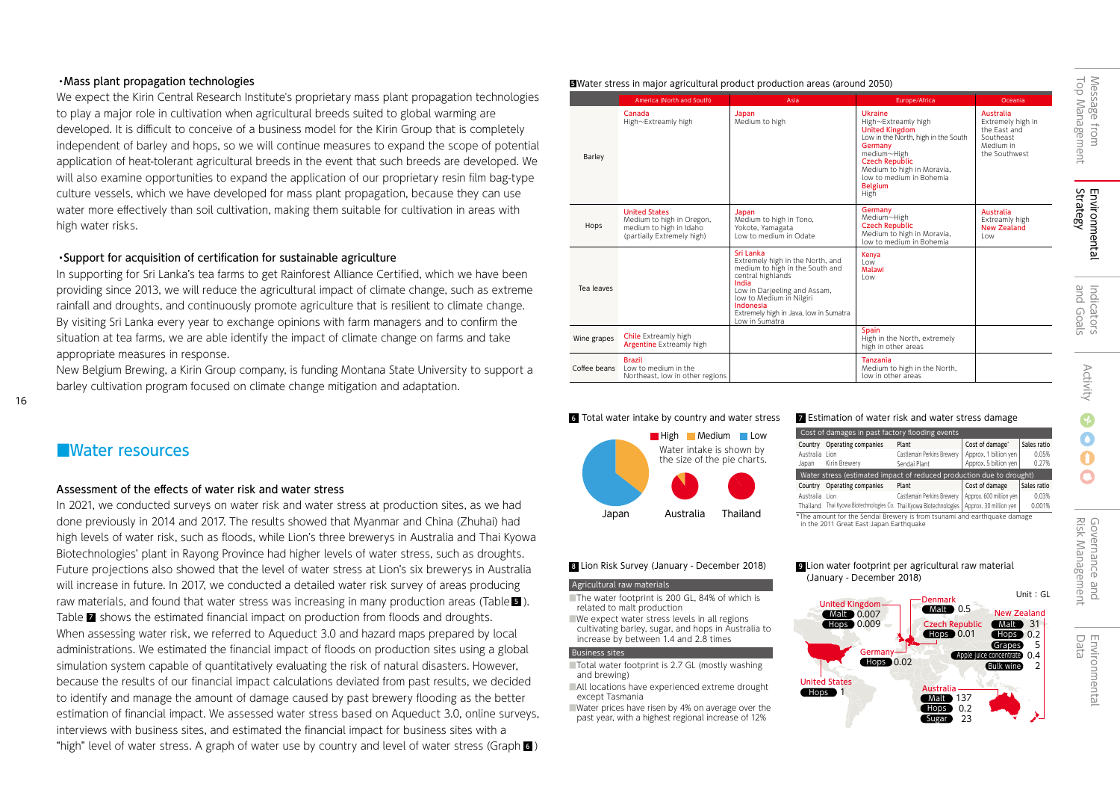## ・Mass plant propagation technologies

We expect the Kirin Central Research Institute's proprietary mass plant propagation technologies to play a major role in cultivation when agricultural breeds suited to global warming are developed. It is difficult to conceive of a business model for the Kirin Group that is completely independent of barley and hops, so we will continue measures to expand the scope of potential application of heat-tolerant agricultural breeds in the event that such breeds are developed. We will also examine opportunities to expand the application of our proprietary resin film bag-type culture vessels, which we have developed for mass plant propagation, because they can use water more effectively than soil cultivation, making them suitable for cultivation in areas with high water risks.

## ・Support for acquisition of certification for sustainable agriculture

In supporting for Sri Lanka's tea farms to get Rainforest Alliance Certified, which we have been providing since 2013, we will reduce the agricultural impact of climate change, such as extreme rainfall and droughts, and continuously promote agriculture that is resilient to climate change. By visiting Sri Lanka every year to exchange opinions with farm managers and to confirm the situation at tea farms, we are able identify the impact of climate change on farms and take appropriate measures in response.

New Belgium Brewing, a Kirin Group company, is funding Montana State University to support a barley cultivation program focused on climate change mitigation and adaptation.

## ■Water resources

#### Assessment of the effects of water risk and water stress

In 2021, we conducted surveys on water risk and water stress at production sites, as we had done previously in 2014 and 2017. The results showed that Myanmar and China (Zhuhai) had high levels of water risk, such as floods, while Lion's three brewerys in Australia and Thai Kyowa Biotechnologies' plant in Rayong Province had higher levels of water stress, such as droughts. Future projections also showed that the level of water stress at Lion's six brewerys in Australia will increase in future. In 2017, we conducted a detailed water risk survey of areas producing raw materials, and found that water stress was increasing in many production areas (Table  $\blacksquare$  ). Table  $\blacksquare$  shows the estimated financial impact on production from floods and droughts. When assessing water risk, we referred to Aqueduct 3.0 and hazard maps prepared by local administrations. We estimated the financial impact of floods on production sites using a global simulation system capable of quantitatively evaluating the risk of natural disasters. However, because the results of our financial impact calculations deviated from past results, we decided to identify and manage the amount of damage caused by past brewery flooding as the better estimation of financial impact. We assessed water stress based on Aqueduct 3.0, online surveys, interviews with business sites, and estimated the financial impact for business sites with a "high" level of water stress. A graph of water use by country and level of water stress (Graph  $\epsilon$ )

|              | America (North and South)                                                                                  | Asia                                                                                                                                                                                                                                                | Europe/Africa                                                                                                                                                                                                                         | Oceania                                                                                   |
|--------------|------------------------------------------------------------------------------------------------------------|-----------------------------------------------------------------------------------------------------------------------------------------------------------------------------------------------------------------------------------------------------|---------------------------------------------------------------------------------------------------------------------------------------------------------------------------------------------------------------------------------------|-------------------------------------------------------------------------------------------|
| Barley       | Canada<br>High~Extreamly high                                                                              | Japan<br>Medium to high                                                                                                                                                                                                                             | Ukraine<br>High~Extreamly high<br><b>United Kingdom</b><br>Low in the North, high in the South<br>Germany<br>medium~High<br><b>Czech Republic</b><br>Medium to high in Moravia,<br>low to medium in Bohemia<br><b>Belgium</b><br>High | Australia<br>Extremely high in<br>the East and<br>Southeast<br>Medium in<br>the Southwest |
| Hops         | <b>United States</b><br>Medium to high in Oregon,<br>medium to high in Idaho<br>(partially Extremely high) | Japan<br>Medium to high in Tono,<br>Yokote, Yamagata<br>Low to medium in Odate                                                                                                                                                                      | Germany<br>Medium~High<br><b>Czech Republic</b><br>Medium to high in Moravia,<br>low to medium in Bohemia                                                                                                                             | Australia<br>Extreamly high<br><b>New Zealand</b><br>l ow                                 |
| Tea leaves   |                                                                                                            | Sri Lanka<br>Extremely high in the North, and<br>medium to high in the South and<br>central highlands<br>India<br>Low in Darjeeling and Assam,<br>low to Medium in Nilgiri<br>Indonesia<br>Extremely high in Java, low in Sumatra<br>Low in Sumatra | Kenya<br>Low<br>Malawi<br><b>Low</b>                                                                                                                                                                                                  |                                                                                           |
| Wine grapes  | <b>Chile</b> Extreamly high<br><b>Argentine</b> Extreamly high                                             |                                                                                                                                                                                                                                                     | Spain<br>High in the North, extremely<br>high in other areas                                                                                                                                                                          |                                                                                           |
| Coffee beans | <b>Brazil</b><br>Low to medium in the<br>Northeast, low in other regions                                   |                                                                                                                                                                                                                                                     | Tanzania<br>Medium to high in the North,<br>low in other areas                                                                                                                                                                        |                                                                                           |

■Water stress in major agricultural product production areas (around 2050) 5

#### **6** Total water intake by country and water stress **7**



#### **Estimation of water risk and water stress damage**

| Country                                                              | Operating companies | Plant                      | Cost of damage'         | Sales ratio |  |  |  |
|----------------------------------------------------------------------|---------------------|----------------------------|-------------------------|-------------|--|--|--|
| Australia Lion                                                       |                     | Castlemain Perkins Brewerv | Approx. 1 billion yen   | 0.05%       |  |  |  |
| Japan                                                                | Kirin Brewery       | Sendai Plant               | Approx, 5 billion ven   | 0.27%       |  |  |  |
| Water stress (estimated impact of reduced production due to drought) |                     |                            |                         |             |  |  |  |
|                                                                      |                     |                            |                         |             |  |  |  |
| Country                                                              | Operating companies | Plant                      | Cost of damage          | Sales ratio |  |  |  |
| Australia Lion                                                       |                     | Castlemain Perkins Brewerv | Approx. 600 million yen | 0.03%       |  |  |  |

\*The amount for the Sendai Brewery is from tsunami and earthquake damage in the 2011 Great East Japan Earthquake

(January - December 2018)

#### Lion Risk Survey (January - December 2018) 8

#### Agricultural raw materials

■The water footprint is 200 GL, 84% of which is related to malt production

■We expect water stress levels in all regions cultivating barley, sugar, and hops in Australia to increase by between 1.4 and 2.8 times

#### Business sites

■Total water footprint is 2.7 GL (mostly washing and brewing)

■All locations have experienced extreme drought except Tasmania

■Water prices have risen by 4% on average over the past year, with a highest regional increase of 12%



 $\bullet$  $\Omega$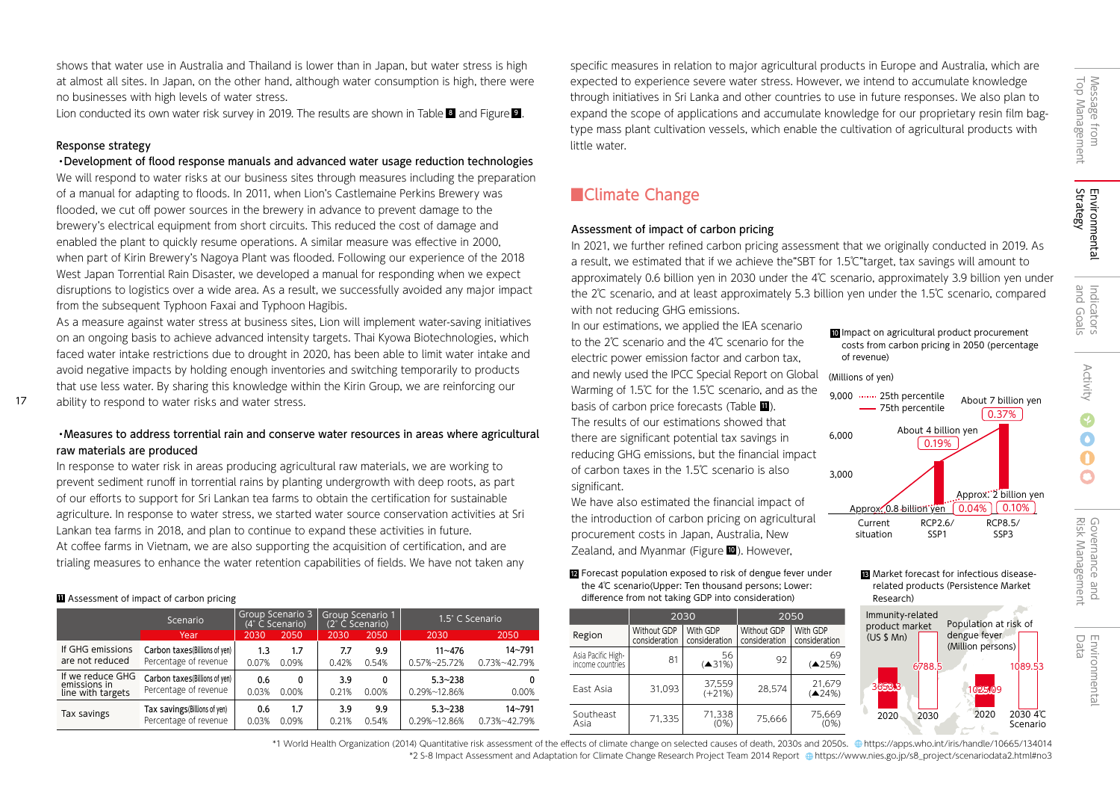shows that water use in Australia and Thailand is lower than in Japan, but water stress is high at almost all sites. In Japan, on the other hand, although water consumption is high, there were no businesses with high levels of water stress.

Lion conducted its own water risk survey in 2019. The results are shown in Table  $\blacksquare$  and Figure  $\blacksquare$  .

## Response strategy

17

・Development of flood response manuals and advanced water usage reduction technologies We will respond to water risks at our business sites through measures including the preparation of a manual for adapting to floods. In 2011, when Lion's Castlemaine Perkins Brewery was flooded, we cut off power sources in the brewery in advance to prevent damage to the brewery's electrical equipment from short circuits. This reduced the cost of damage and enabled the plant to quickly resume operations. A similar measure was effective in 2000, when part of Kirin Brewery's Nagoya Plant was flooded. Following our experience of the 2018 West Japan Torrential Rain Disaster, we developed a manual for responding when we expect disruptions to logistics over a wide area. As a result, we successfully avoided any major impact from the subsequent Typhoon Faxai and Typhoon Hagibis.

As a measure against water stress at business sites, Lion will implement water-saving initiatives on an ongoing basis to achieve advanced intensity targets. Thai Kyowa Biotechnologies, which faced water intake restrictions due to drought in 2020, has been able to limit water intake and avoid negative impacts by holding enough inventories and switching temporarily to products that use less water. By sharing this knowledge within the Kirin Group, we are reinforcing our ability to respond to water risks and water stress.

## ・Measures to address torrential rain and conserve water resources in areas where agricultural raw materials are produced

In response to water risk in areas producing agricultural raw materials, we are working to prevent sediment runoff in torrential rains by planting undergrowth with deep roots, as part of our efforts to support for Sri Lankan tea farms to obtain the certification for sustainable agriculture. In response to water stress, we started water source conservation activities at Sri Lankan tea farms in 2018, and plan to continue to expand these activities in future. At coffee farms in Vietnam, we are also supporting the acquisition of certification, and are trialing measures to enhance the water retention capabilities of fields. We have not taken any

### **Assessment of impact of carbon pricing**

|                                     | Scenario                                                |              | Group Scenario 3<br>(4° C Scenario). |              | Group Scenario 1<br>(2° C Scenario) | 1.5° C Scenario                      |                            |
|-------------------------------------|---------------------------------------------------------|--------------|--------------------------------------|--------------|-------------------------------------|--------------------------------------|----------------------------|
|                                     | Year                                                    | 2030         | 2050                                 | 2030         | 2050                                | 2030                                 | 2050                       |
| If GHG emissions<br>are not reduced | Carbon taxes (Billions of yen)                          | 1.3          | 1.7                                  | 7.7          | 9.9                                 | $11 - 476$                           | 14~791                     |
|                                     | Percentage of revenue                                   | 0.07%        | 0.09%                                | 0.42%        | 0.54%                               | 0.57%~25.72%                         | 0.73%~42.79%               |
| If we reduce GHG<br>emissions in    | Carbon taxes (Billions of yen)<br>Percentage of revenue | 0.6          | 0                                    | 3.9          | 0                                   | $5.3 - 238$                          | 0                          |
| line with targets                   |                                                         | 0.03%        | 0.00%                                | 0.21%        | 0.00%                               | 0.29%~12.86%                         | 0.00%                      |
| Tax savings                         | Tax savings(Billions of yen)<br>Percentage of revenue   | 0.6<br>0.03% | 1.7<br>0.09%                         | 3.9<br>0.21% | 9.9<br>0.54%                        | $5.3 - 238$<br>$0.29\% \sim 12.86\%$ | $14 - 791$<br>0.73%~42.79% |

specific measures in relation to major agricultural products in Europe and Australia, which are expected to experience severe water stress. However, we intend to accumulate knowledge through initiatives in Sri Lanka and other countries to use in future responses. We also plan to expand the scope of applications and accumulate knowledge for our proprietary resin film bagtype mass plant cultivation vessels, which enable the cultivation of agricultural products with little water.

## ■Climate Change

### Assessment of impact of carbon pricing

In 2021, we further refined carbon pricing assessment that we originally conducted in 2019. As a result, we estimated that if we achieve the"SBT for 1.5℃"target, tax savings will amount to approximately 0.6 billion yen in 2030 under the 4℃ scenario, approximately 3.9 billion yen under the 2℃ scenario, and at least approximately 5.3 billion yen under the 1.5℃ scenario, compared with not reducing GHG emissions.

2020

Immunity-related product market  $(US $ Mn)$ 

Approx. 0.8 billion yen

Current situation

6,000

3,000

9,000 …… 25th percentile 75th percentile

(Millions of yen)

of revenue)

In our estimations, we applied the IEA scenario to the 2℃ scenario and the 4℃ scenario for the electric power emission factor and carbon tax, and newly used the IPCC Special Report on Global Warming of 1.5℃ for the 1.5℃ scenario, and as the basis of carbon price forecasts (Table  $\blacksquare$ ). The results of our estimations showed that there are significant potential tax savings in reducing GHG emissions, but the financial impact of carbon taxes in the 1.5℃ scenario is also significant.

We have also estimated the financial impact of the introduction of carbon pricing on agricultural procurement costs in Japan, Australia, New Zealand, and Myanmar (Figure **0**). However,

**if** Assessment of impact of carbon pricing the research) and the search of the search of the research of the research of the research of the research of the research of the research of the research of the research of the **E** Forecast population exposed to risk of dengue fever under **13** the 4℃ scenario(Upper: Ten thousand persons; Lower:

|                                        |                              | 2030                      | 2050                         |                           |  |
|----------------------------------------|------------------------------|---------------------------|------------------------------|---------------------------|--|
| Region                                 | Without GDP<br>consideration | With GDP<br>consideration | Without GDP<br>consideration | With GDP<br>consideration |  |
| Asia Pacific High-<br>income countries | 81                           | 56<br>(431%)              | 92                           | 69<br>(425%)              |  |
| Fast Asia                              | 31.093                       | 37,559<br>$(+21%)$        | 28.574                       | 21,679<br>(424%)          |  |
| Southeast<br>Asia                      | 71,335                       | 71,338<br>(0%)            | 75,666                       | 75,669<br>(0%)            |  |

About 7 billion yen

0.37%

RCP8.5/ SSP3

Approx.<sup>2</sup> billion ven

 $\boxed{0.04\%}$   $\boxed{0.10\%}$ 

Population at risk of dengue fever (Million persons)

2030 2020 2030 4℃

3<mark>653.3</mark> | 1025.09

**B** Market forecast for infectious diseaserelated products(Persistence Market

RCP2.6/ SSP<sub>1</sub>

About 4 billion yen

0.19%

Scenario

1089.53

Top Management Message from

Message from<br>Top Management

Environmental<br>Strategy Environmental

and Goals

Indicators<br>and Goals

\*1 World Health Organization (2014) Quantitative risk assessment of the effects of climate change on selected causes of death, 2030s and 2050s. https://apps.who.int/iris/handle/10665/134014 \*2 S-8 Impact Assessment and Adaptation for Climate Change Research Project Team 2014 Report https://www.nies.go.jp/s8\_project/scenariodata2.html#no3